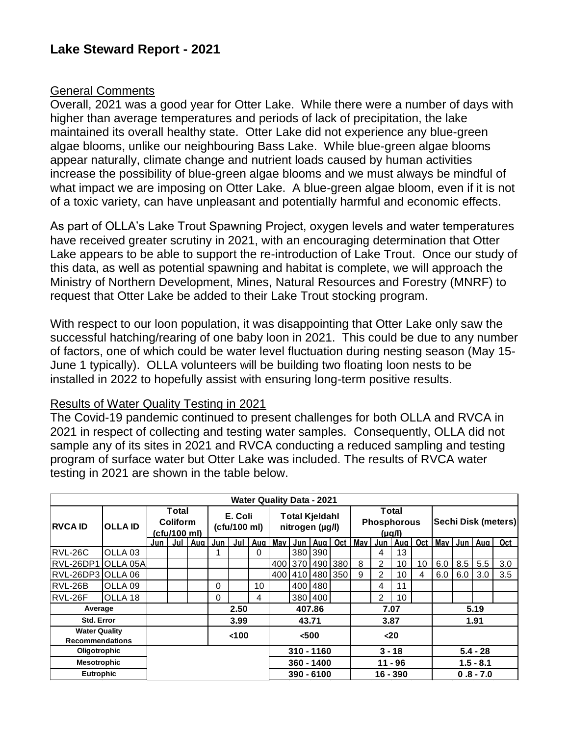## General Comments

Overall, 2021 was a good year for Otter Lake. While there were a number of days with higher than average temperatures and periods of lack of precipitation, the lake maintained its overall healthy state. Otter Lake did not experience any blue-green algae blooms, unlike our neighbouring Bass Lake. While blue-green algae blooms appear naturally, climate change and nutrient loads caused by human activities increase the possibility of blue-green algae blooms and we must always be mindful of what impact we are imposing on Otter Lake. A blue-green algae bloom, even if it is not of a toxic variety, can have unpleasant and potentially harmful and economic effects.

As part of OLLA's Lake Trout Spawning Project, oxygen levels and water temperatures have received greater scrutiny in 2021, with an encouraging determination that Otter Lake appears to be able to support the re-introduction of Lake Trout. Once our study of this data, as well as potential spawning and habitat is complete, we will approach the Ministry of Northern Development, Mines, Natural Resources and Forestry (MNRF) to request that Otter Lake be added to their Lake Trout stocking program.

With respect to our loon population, it was disappointing that Otter Lake only saw the successful hatching/rearing of one baby loon in 2021. This could be due to any number of factors, one of which could be water level fluctuation during nesting season (May 15- June 1 typically). OLLA volunteers will be building two floating loon nests to be installed in 2022 to hopefully assist with ensuring long-term positive results.

## Results of Water Quality Testing in 2021

The Covid-19 pandemic continued to present challenges for both OLLA and RVCA in 2021 in respect of collecting and testing water samples. Consequently, OLLA did not sample any of its sites in 2021 and RVCA conducting a reduced sampling and testing program of surface water but Otter Lake was included. The results of RVCA water testing in 2021 are shown in the table below.

| <b>Water Quality Data - 2021</b>               |                    |                                                        |  |         |                         |       |              |                                          |              |           |                 |                                       |            |           |            |                            |             |             |     |  |
|------------------------------------------------|--------------------|--------------------------------------------------------|--|---------|-------------------------|-------|--------------|------------------------------------------|--------------|-----------|-----------------|---------------------------------------|------------|-----------|------------|----------------------------|-------------|-------------|-----|--|
| <b>RVCA ID</b>                                 | <b>OLLA ID</b>     | <b>Total</b><br><b>Coliform</b><br><u>(cfu/100 ml)</u> |  |         | E. Coli<br>(cfu/100 ml) |       |              | <b>Total Kjeldahl</b><br>nitrogen (µg/l) |              |           |                 | Total<br><b>Phosphorous</b><br>(µg/l) |            |           |            | <b>Sechi Disk (meters)</b> |             |             |     |  |
|                                                |                    | Jun                                                    |  | Jul Aug | Jun                     | Jul   | Aug          | May                                      |              | Jun   Aug | <b>Oct</b>      | <b>May</b>                            |            | Jun   Aug | Oct        |                            |             | May Jun Aug | Oct |  |
| RVL-26C                                        | OLLA <sub>03</sub> |                                                        |  |         |                         |       | 0            |                                          | 380          | 390       |                 |                                       | 4          | 13        |            |                            |             |             |     |  |
| RVL-26DP1 OLLA 05A                             |                    |                                                        |  |         |                         |       |              |                                          |              |           | 400 370 490 380 | 8                                     | 2          | 10        | 10         | 6.0                        | 8.5         | 5.5         | 3.0 |  |
| RVL-26DP3 OLLA 06                              |                    |                                                        |  |         |                         |       |              | 400                                      | 410          |           | 480 350         | 9                                     | 2          | 10        | 4          | 6.0                        | 6.0         | 3.0         | 3.5 |  |
| RVL-26B                                        | OLLA 09            |                                                        |  |         | $\Omega$                |       | 10           |                                          | 400          | 480       |                 |                                       | 4          | 11        |            |                            |             |             |     |  |
| RVL-26F                                        | OLLA 18            |                                                        |  |         | $\Omega$                |       | 4            |                                          |              | 380 400   |                 |                                       | 2          | 10        |            |                            |             |             |     |  |
| Average                                        |                    |                                                        |  |         | 2.50                    |       |              | 407.86                                   |              |           | 7.07            |                                       |            |           | 5.19       |                            |             |             |     |  |
| <b>Std. Error</b>                              |                    |                                                        |  |         | 3.99                    |       |              | 43.71                                    |              |           | 3.87            |                                       |            |           | 1.91       |                            |             |             |     |  |
| <b>Water Quality</b><br><b>Recommendations</b> |                    |                                                        |  |         |                         | < 100 |              |                                          | <500         |           |                 |                                       | $20$       |           |            |                            |             |             |     |  |
| Oligotrophic                                   |                    |                                                        |  |         |                         |       | $310 - 1160$ |                                          |              |           | $3 - 18$        |                                       |            |           | $5.4 - 28$ |                            |             |             |     |  |
| <b>Mesotrophic</b>                             |                    |                                                        |  |         |                         |       |              |                                          | 360 - 1400   |           |                 |                                       | $11 - 96$  |           |            |                            | $1.5 - 8.1$ |             |     |  |
| <b>Eutrophic</b>                               |                    |                                                        |  |         |                         |       |              |                                          | $390 - 6100$ |           |                 |                                       | $16 - 390$ |           |            |                            | $0.8 - 7.0$ |             |     |  |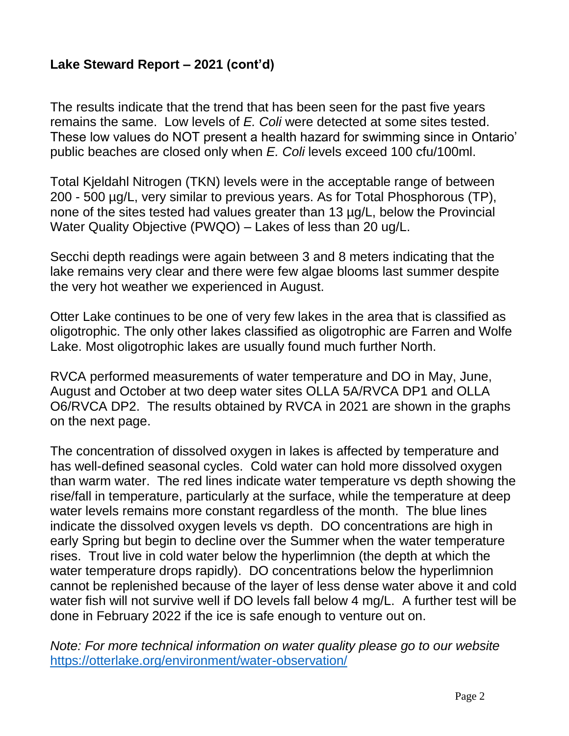## **Lake Steward Report – 2021 (cont'd)**

The results indicate that the trend that has been seen for the past five years remains the same. Low levels of *E. Coli* were detected at some sites tested. These low values do NOT present a health hazard for swimming since in Ontario' public beaches are closed only when *E. Coli* levels exceed 100 cfu/100ml.

Total Kjeldahl Nitrogen (TKN) levels were in the acceptable range of between 200 - 500 µg/L, very similar to previous years. As for Total Phosphorous (TP), none of the sites tested had values greater than 13 µg/L, below the Provincial Water Quality Objective (PWQO) – Lakes of less than 20 ug/L.

Secchi depth readings were again between 3 and 8 meters indicating that the lake remains very clear and there were few algae blooms last summer despite the very hot weather we experienced in August.

Otter Lake continues to be one of very few lakes in the area that is classified as oligotrophic. The only other lakes classified as oligotrophic are Farren and Wolfe Lake. Most oligotrophic lakes are usually found much further North.

RVCA performed measurements of water temperature and DO in May, June, August and October at two deep water sites OLLA 5A/RVCA DP1 and OLLA O6/RVCA DP2. The results obtained by RVCA in 2021 are shown in the graphs on the next page.

The concentration of dissolved oxygen in lakes is affected by temperature and has well-defined seasonal cycles. Cold water can hold more dissolved oxygen than warm water. The red lines indicate water temperature vs depth showing the rise/fall in temperature, particularly at the surface, while the temperature at deep water levels remains more constant regardless of the month. The blue lines indicate the dissolved oxygen levels vs depth. DO concentrations are high in early Spring but begin to decline over the Summer when the water temperature rises. Trout live in cold water below the hyperlimnion (the depth at which the water temperature drops rapidly). DO concentrations below the hyperlimnion cannot be replenished because of the layer of less dense water above it and cold water fish will not survive well if DO levels fall below 4 mg/L. A further test will be done in February 2022 if the ice is safe enough to venture out on.

*Note: For more technical information on water quality please go to our website* <https://otterlake.org/environment/water-observation/>